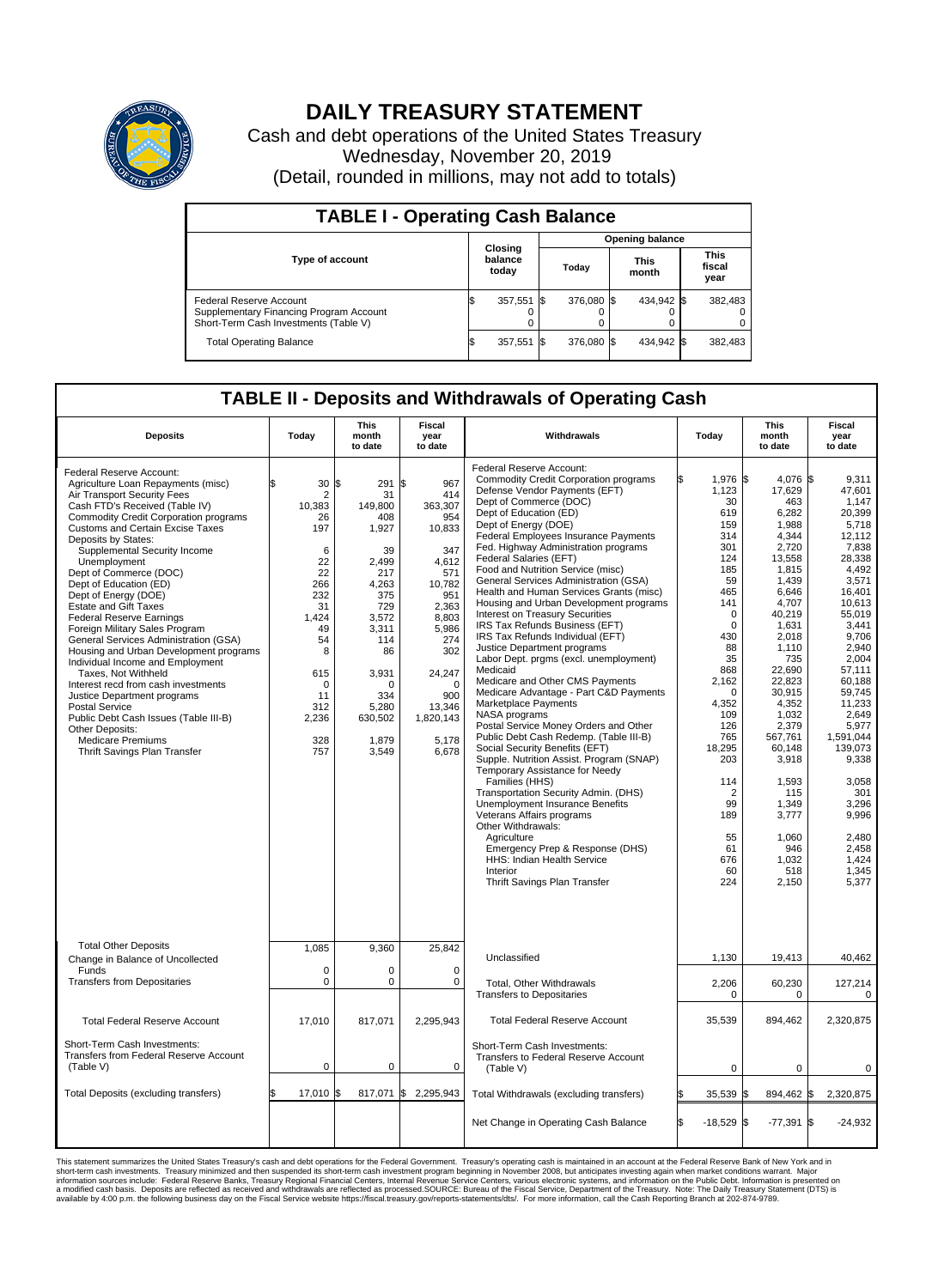

## **DAILY TREASURY STATEMENT**

Cash and debt operations of the United States Treasury Wednesday, November 20, 2019 (Detail, rounded in millions, may not add to totals)

| <b>TABLE I - Operating Cash Balance</b>                                                                     |    |                             |  |                        |  |                      |  |                               |  |  |  |
|-------------------------------------------------------------------------------------------------------------|----|-----------------------------|--|------------------------|--|----------------------|--|-------------------------------|--|--|--|
|                                                                                                             |    |                             |  | <b>Opening balance</b> |  |                      |  |                               |  |  |  |
| <b>Type of account</b>                                                                                      |    | Closing<br>balance<br>today |  | Today                  |  | <b>This</b><br>month |  | <b>This</b><br>fiscal<br>year |  |  |  |
| Federal Reserve Account<br>Supplementary Financing Program Account<br>Short-Term Cash Investments (Table V) |    | 357,551 \$                  |  | 376.080 \$             |  | 434,942 \$           |  | 382,483                       |  |  |  |
| <b>Total Operating Balance</b>                                                                              | IЭ | 357,551 \$                  |  | 376.080 \$             |  | 434,942 \$           |  | 382,483                       |  |  |  |

## **TABLE II - Deposits and Withdrawals of Operating Cash**

| <b>Deposits</b>                                                                                                                                                                                                                                                                                                                                                                                                                                                                                                                                                                                                                                                                                                                                                                                                                                  | Todav                                                                                                                                                | <b>This</b><br>month<br>to date                                                                                                                                                           | <b>Fiscal</b><br>vear<br>to date                                                                                                                                                                     | Withdrawals                                                                                                                                                                                                                                                                                                                                                                                                                                                                                                                                                                                                                                                                                                                                                                                                                                                                                                                                                                                                                                                                                                                                                                                                                                                           | Today                                                                                                                                                                                                                                                                                         | <b>This</b><br>month<br>to date                                                                                                                                                                                                                                                                                           | <b>Fiscal</b><br>vear<br>to date                                                                                                                                                                                                                                                                                                       |  |  |
|--------------------------------------------------------------------------------------------------------------------------------------------------------------------------------------------------------------------------------------------------------------------------------------------------------------------------------------------------------------------------------------------------------------------------------------------------------------------------------------------------------------------------------------------------------------------------------------------------------------------------------------------------------------------------------------------------------------------------------------------------------------------------------------------------------------------------------------------------|------------------------------------------------------------------------------------------------------------------------------------------------------|-------------------------------------------------------------------------------------------------------------------------------------------------------------------------------------------|------------------------------------------------------------------------------------------------------------------------------------------------------------------------------------------------------|-----------------------------------------------------------------------------------------------------------------------------------------------------------------------------------------------------------------------------------------------------------------------------------------------------------------------------------------------------------------------------------------------------------------------------------------------------------------------------------------------------------------------------------------------------------------------------------------------------------------------------------------------------------------------------------------------------------------------------------------------------------------------------------------------------------------------------------------------------------------------------------------------------------------------------------------------------------------------------------------------------------------------------------------------------------------------------------------------------------------------------------------------------------------------------------------------------------------------------------------------------------------------|-----------------------------------------------------------------------------------------------------------------------------------------------------------------------------------------------------------------------------------------------------------------------------------------------|---------------------------------------------------------------------------------------------------------------------------------------------------------------------------------------------------------------------------------------------------------------------------------------------------------------------------|----------------------------------------------------------------------------------------------------------------------------------------------------------------------------------------------------------------------------------------------------------------------------------------------------------------------------------------|--|--|
| Federal Reserve Account:<br>Agriculture Loan Repayments (misc)<br>Air Transport Security Fees<br>Cash FTD's Received (Table IV)<br><b>Commodity Credit Corporation programs</b><br>Customs and Certain Excise Taxes<br>Deposits by States:<br>Supplemental Security Income<br>Unemployment<br>Dept of Commerce (DOC)<br>Dept of Education (ED)<br>Dept of Energy (DOE)<br><b>Estate and Gift Taxes</b><br><b>Federal Reserve Earnings</b><br>Foreign Military Sales Program<br>General Services Administration (GSA)<br>Housing and Urban Development programs<br>Individual Income and Employment<br>Taxes, Not Withheld<br>Interest recd from cash investments<br>Justice Department programs<br><b>Postal Service</b><br>Public Debt Cash Issues (Table III-B)<br>Other Deposits:<br><b>Medicare Premiums</b><br>Thrift Savings Plan Transfer | 30<br>2<br>10,383<br>26<br>197<br>6<br>22<br>22<br>266<br>232<br>31<br>1.424<br>49<br>54<br>8<br>615<br>$\Omega$<br>11<br>312<br>2,236<br>328<br>757 | l\$<br>291<br>31<br>149,800<br>408<br>1,927<br>39<br>2,499<br>217<br>4,263<br>375<br>729<br>3.572<br>3,311<br>114<br>86<br>3,931<br>$\Omega$<br>334<br>5,280<br>630,502<br>1,879<br>3,549 | I\$<br>967<br>414<br>363,307<br>954<br>10,833<br>347<br>4,612<br>571<br>10,782<br>951<br>2,363<br>8,803<br>5,986<br>274<br>302<br>24,247<br>$\Omega$<br>900<br>13,346<br>1,820,143<br>5.178<br>6,678 | Federal Reserve Account:<br><b>Commodity Credit Corporation programs</b><br>Defense Vendor Payments (EFT)<br>Dept of Commerce (DOC)<br>Dept of Education (ED)<br>Dept of Energy (DOE)<br>Federal Employees Insurance Payments<br>Fed. Highway Administration programs<br>Federal Salaries (EFT)<br>Food and Nutrition Service (misc)<br>General Services Administration (GSA)<br>Health and Human Services Grants (misc)<br>Housing and Urban Development programs<br>Interest on Treasury Securities<br>IRS Tax Refunds Business (EFT)<br>IRS Tax Refunds Individual (EFT)<br>Justice Department programs<br>Labor Dept. prgms (excl. unemployment)<br>Medicaid<br>Medicare and Other CMS Payments<br>Medicare Advantage - Part C&D Payments<br>Marketplace Payments<br>NASA programs<br>Postal Service Money Orders and Other<br>Public Debt Cash Redemp. (Table III-B)<br>Social Security Benefits (EFT)<br>Supple. Nutrition Assist. Program (SNAP)<br>Temporary Assistance for Needy<br>Families (HHS)<br>Transportation Security Admin. (DHS)<br>Unemployment Insurance Benefits<br>Veterans Affairs programs<br>Other Withdrawals:<br>Agriculture<br>Emergency Prep & Response (DHS)<br>HHS: Indian Health Service<br>Interior<br>Thrift Savings Plan Transfer | Ŝ.<br>1,976 \$<br>1,123<br>30<br>619<br>159<br>314<br>301<br>124<br>185<br>59<br>465<br>141<br>$\mathbf 0$<br>$\mathbf 0$<br>430<br>88<br>35<br>868<br>2,162<br>$\Omega$<br>4,352<br>109<br>126<br>765<br>18,295<br>203<br>114<br>$\overline{2}$<br>99<br>189<br>55<br>61<br>676<br>60<br>224 | 4,076 \$<br>17,629<br>463<br>6,282<br>1,988<br>4,344<br>2,720<br>13,558<br>1,815<br>1,439<br>6,646<br>4,707<br>40,219<br>1.631<br>2.018<br>1,110<br>735<br>22.690<br>22,823<br>30,915<br>4.352<br>1,032<br>2,379<br>567,761<br>60,148<br>3,918<br>1,593<br>115<br>1,349<br>3,777<br>1,060<br>946<br>1,032<br>518<br>2,150 | 9.311<br>47,601<br>1.147<br>20,399<br>5,718<br>12,112<br>7,838<br>28,338<br>4.492<br>3,571<br>16,401<br>10.613<br>55,019<br>3.441<br>9.706<br>2,940<br>2,004<br>57,111<br>60,188<br>59,745<br>11.233<br>2,649<br>5.977<br>1,591,044<br>139,073<br>9,338<br>3,058<br>301<br>3,296<br>9,996<br>2,480<br>2.458<br>1,424<br>1.345<br>5,377 |  |  |
| <b>Total Other Deposits</b><br>Change in Balance of Uncollected                                                                                                                                                                                                                                                                                                                                                                                                                                                                                                                                                                                                                                                                                                                                                                                  | 1,085                                                                                                                                                | 9,360                                                                                                                                                                                     | 25,842                                                                                                                                                                                               | Unclassified                                                                                                                                                                                                                                                                                                                                                                                                                                                                                                                                                                                                                                                                                                                                                                                                                                                                                                                                                                                                                                                                                                                                                                                                                                                          | 1,130                                                                                                                                                                                                                                                                                         | 19,413                                                                                                                                                                                                                                                                                                                    | 40,462                                                                                                                                                                                                                                                                                                                                 |  |  |
| Funds<br><b>Transfers from Depositaries</b>                                                                                                                                                                                                                                                                                                                                                                                                                                                                                                                                                                                                                                                                                                                                                                                                      | $\mathbf 0$<br>$\mathbf 0$                                                                                                                           | $\Omega$<br>0                                                                                                                                                                             | $\mathbf 0$<br>$\mathbf 0$                                                                                                                                                                           | Total, Other Withdrawals<br><b>Transfers to Depositaries</b>                                                                                                                                                                                                                                                                                                                                                                                                                                                                                                                                                                                                                                                                                                                                                                                                                                                                                                                                                                                                                                                                                                                                                                                                          | 2,206<br>$\mathbf 0$                                                                                                                                                                                                                                                                          | 60,230<br>$\Omega$                                                                                                                                                                                                                                                                                                        | 127,214<br>$\mathbf 0$                                                                                                                                                                                                                                                                                                                 |  |  |
| <b>Total Federal Reserve Account</b>                                                                                                                                                                                                                                                                                                                                                                                                                                                                                                                                                                                                                                                                                                                                                                                                             | 17,010                                                                                                                                               | 817,071                                                                                                                                                                                   | 2,295,943                                                                                                                                                                                            | <b>Total Federal Reserve Account</b>                                                                                                                                                                                                                                                                                                                                                                                                                                                                                                                                                                                                                                                                                                                                                                                                                                                                                                                                                                                                                                                                                                                                                                                                                                  | 35,539                                                                                                                                                                                                                                                                                        | 894,462                                                                                                                                                                                                                                                                                                                   | 2,320,875                                                                                                                                                                                                                                                                                                                              |  |  |
| Short-Term Cash Investments:<br>Transfers from Federal Reserve Account<br>(Table V)                                                                                                                                                                                                                                                                                                                                                                                                                                                                                                                                                                                                                                                                                                                                                              | 0                                                                                                                                                    | 0                                                                                                                                                                                         | 0                                                                                                                                                                                                    | Short-Term Cash Investments:<br>Transfers to Federal Reserve Account<br>(Table V)                                                                                                                                                                                                                                                                                                                                                                                                                                                                                                                                                                                                                                                                                                                                                                                                                                                                                                                                                                                                                                                                                                                                                                                     | $\mathbf 0$                                                                                                                                                                                                                                                                                   | 0                                                                                                                                                                                                                                                                                                                         | 0                                                                                                                                                                                                                                                                                                                                      |  |  |
| Total Deposits (excluding transfers)                                                                                                                                                                                                                                                                                                                                                                                                                                                                                                                                                                                                                                                                                                                                                                                                             | 17,010                                                                                                                                               | 817,071 \$<br>l\$                                                                                                                                                                         | 2,295,943                                                                                                                                                                                            | Total Withdrawals (excluding transfers)                                                                                                                                                                                                                                                                                                                                                                                                                                                                                                                                                                                                                                                                                                                                                                                                                                                                                                                                                                                                                                                                                                                                                                                                                               | 35,539                                                                                                                                                                                                                                                                                        | 894,462 \$<br>I\$                                                                                                                                                                                                                                                                                                         | 2,320,875                                                                                                                                                                                                                                                                                                                              |  |  |
|                                                                                                                                                                                                                                                                                                                                                                                                                                                                                                                                                                                                                                                                                                                                                                                                                                                  |                                                                                                                                                      |                                                                                                                                                                                           |                                                                                                                                                                                                      | Net Change in Operating Cash Balance                                                                                                                                                                                                                                                                                                                                                                                                                                                                                                                                                                                                                                                                                                                                                                                                                                                                                                                                                                                                                                                                                                                                                                                                                                  | Ŝ.<br>$-18,529$ \$                                                                                                                                                                                                                                                                            | $-77,391$ \$                                                                                                                                                                                                                                                                                                              | $-24,932$                                                                                                                                                                                                                                                                                                                              |  |  |

This statement summarizes the United States Treasury's cash and debt operations for the Federal Government. Treasury operating in November 2008, but anticinates investing again when market conditions warrant. Major York an